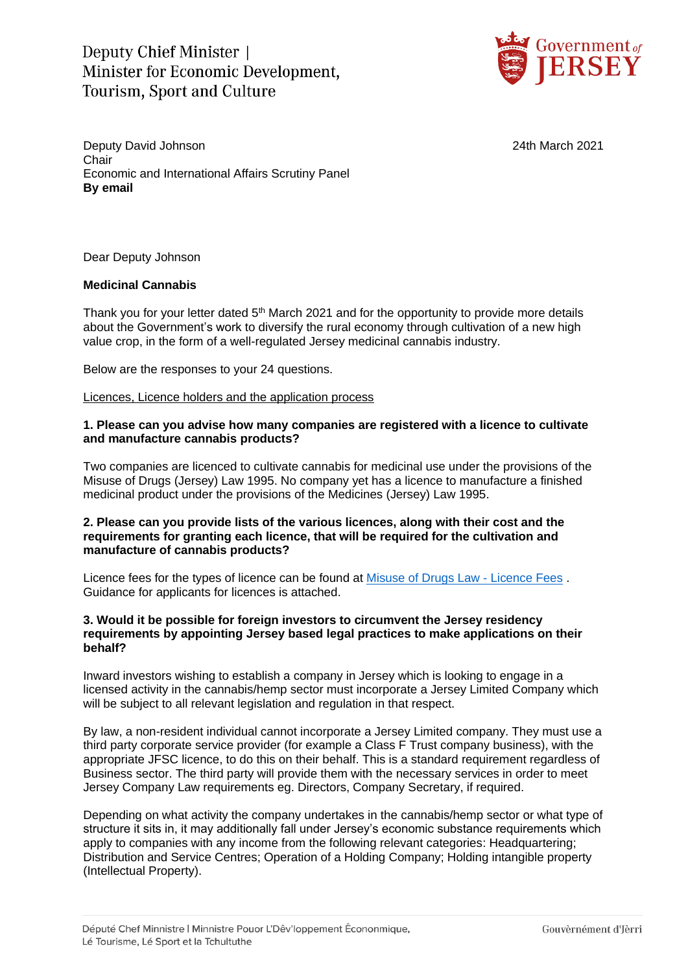Deputy Chief Minister Minister for Economic Development. **Tourism, Sport and Culture** 



Deputy David Johnson 24th March 2021 Chair Economic and International Affairs Scrutiny Panel **By email**

Dear Deputy Johnson

### **Medicinal Cannabis**

Thank you for your letter dated 5<sup>th</sup> March 2021 and for the opportunity to provide more details about the Government's work to diversify the rural economy through cultivation of a new high value crop, in the form of a well-regulated Jersey medicinal cannabis industry.

Below are the responses to your 24 questions.

Licences, Licence holders and the application process

### **1. Please can you advise how many companies are registered with a licence to cultivate and manufacture cannabis products?**

Two companies are licenced to cultivate cannabis for medicinal use under the provisions of the Misuse of Drugs (Jersey) Law 1995. No company yet has a licence to manufacture a finished medicinal product under the provisions of the Medicines (Jersey) Law 1995.

## **2. Please can you provide lists of the various licences, along with their cost and the requirements for granting each licence, that will be required for the cultivation and manufacture of cannabis products?**

Licence fees for the types of licence can be found at [Misuse of Drugs Law -](https://eur02.safelinks.protection.outlook.com/?url=https%3A%2F%2Fwww.jerseylaw.je%2Flaws%2Funofficialconsolidated%2FPages%2F08.680.70.aspx&data=04%7C01%7C%7C50aa28fa83154d78a3fd08d8eddaf3ce%7C2b5615117ddf495c8164f56ae776c54a%7C0%7C0%7C637520872233579724%7CUnknown%7CTWFpbGZsb3d8eyJWIjoiMC4wLjAwMDAiLCJQIjoiV2luMzIiLCJBTiI6Ik1haWwiLCJXVCI6Mn0%3D%7C1000&sdata=xKvs24e0rUAocjoFh5JOaHxGlK6KDdk8gVWUICz3ORQ%3D&reserved=0) Licence Fees . Guidance for applicants for licences is attached.

#### **3. Would it be possible for foreign investors to circumvent the Jersey residency requirements by appointing Jersey based legal practices to make applications on their behalf?**

Inward investors wishing to establish a company in Jersey which is looking to engage in a licensed activity in the cannabis/hemp sector must incorporate a Jersey Limited Company which will be subject to all relevant legislation and regulation in that respect.

By law, a non-resident individual cannot incorporate a Jersey Limited company. They must use a third party corporate service provider (for example a Class F Trust company business), with the appropriate JFSC licence, to do this on their behalf. This is a standard requirement regardless of Business sector. The third party will provide them with the necessary services in order to meet Jersey Company Law requirements eg. Directors, Company Secretary, if required.

Depending on what activity the company undertakes in the cannabis/hemp sector or what type of structure it sits in, it may additionally fall under Jersey's economic substance requirements which apply to companies with any income from the following relevant categories: Headquartering; Distribution and Service Centres; Operation of a Holding Company; Holding intangible property (Intellectual Property).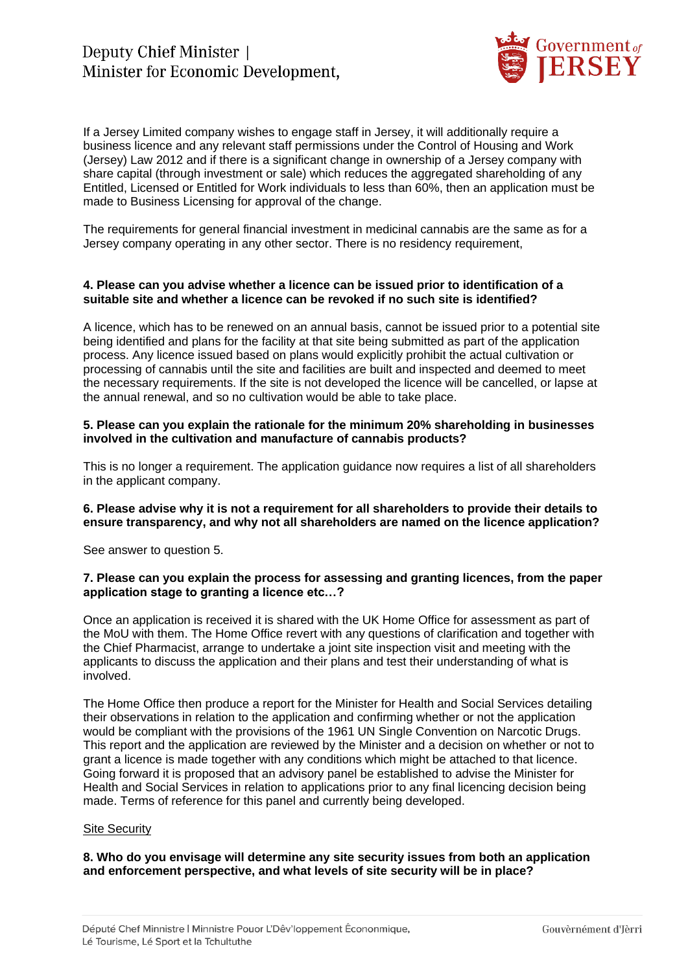

If a Jersey Limited company wishes to engage staff in Jersey, it will additionally require a business licence and any relevant staff permissions under the Control of Housing and Work (Jersey) Law 2012 and if there is a significant change in ownership of a Jersey company with share capital (through investment or sale) which reduces the aggregated shareholding of any Entitled, Licensed or Entitled for Work individuals to less than 60%, then an application must be made to Business Licensing for approval of the change.

The requirements for general financial investment in medicinal cannabis are the same as for a Jersey company operating in any other sector. There is no residency requirement,

#### **4. Please can you advise whether a licence can be issued prior to identification of a suitable site and whether a licence can be revoked if no such site is identified?**

A licence, which has to be renewed on an annual basis, cannot be issued prior to a potential site being identified and plans for the facility at that site being submitted as part of the application process. Any licence issued based on plans would explicitly prohibit the actual cultivation or processing of cannabis until the site and facilities are built and inspected and deemed to meet the necessary requirements. If the site is not developed the licence will be cancelled, or lapse at the annual renewal, and so no cultivation would be able to take place.

## **5. Please can you explain the rationale for the minimum 20% shareholding in businesses involved in the cultivation and manufacture of cannabis products?**

This is no longer a requirement. The application guidance now requires a list of all shareholders in the applicant company.

### **6. Please advise why it is not a requirement for all shareholders to provide their details to ensure transparency, and why not all shareholders are named on the licence application?**

See answer to question 5.

### **7. Please can you explain the process for assessing and granting licences, from the paper application stage to granting a licence etc…?**

Once an application is received it is shared with the UK Home Office for assessment as part of the MoU with them. The Home Office revert with any questions of clarification and together with the Chief Pharmacist, arrange to undertake a joint site inspection visit and meeting with the applicants to discuss the application and their plans and test their understanding of what is involved.

The Home Office then produce a report for the Minister for Health and Social Services detailing their observations in relation to the application and confirming whether or not the application would be compliant with the provisions of the 1961 UN Single Convention on Narcotic Drugs. This report and the application are reviewed by the Minister and a decision on whether or not to grant a licence is made together with any conditions which might be attached to that licence. Going forward it is proposed that an advisory panel be established to advise the Minister for Health and Social Services in relation to applications prior to any final licencing decision being made. Terms of reference for this panel and currently being developed.

### Site Security

**8. Who do you envisage will determine any site security issues from both an application and enforcement perspective, and what levels of site security will be in place?**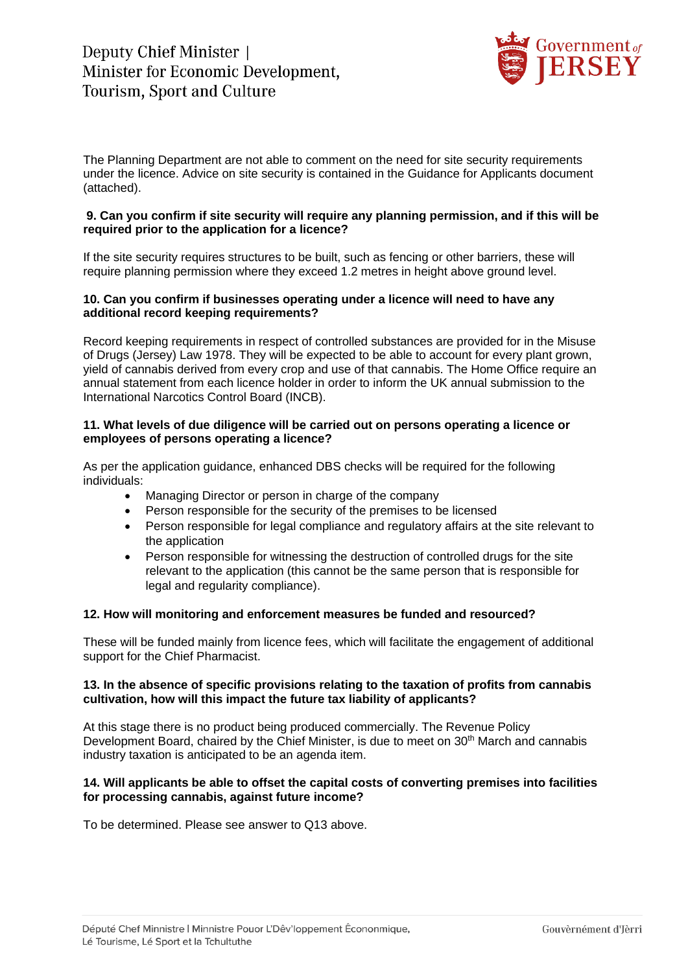

The Planning Department are not able to comment on the need for site security requirements under the licence. Advice on site security is contained in the Guidance for Applicants document (attached).

## **9. Can you confirm if site security will require any planning permission, and if this will be required prior to the application for a licence?**

If the site security requires structures to be built, such as fencing or other barriers, these will require planning permission where they exceed 1.2 metres in height above ground level.

### **10. Can you confirm if businesses operating under a licence will need to have any additional record keeping requirements?**

Record keeping requirements in respect of controlled substances are provided for in the Misuse of Drugs (Jersey) Law 1978. They will be expected to be able to account for every plant grown, yield of cannabis derived from every crop and use of that cannabis. The Home Office require an annual statement from each licence holder in order to inform the UK annual submission to the International Narcotics Control Board (INCB).

### **11. What levels of due diligence will be carried out on persons operating a licence or employees of persons operating a licence?**

As per the application guidance, enhanced DBS checks will be required for the following individuals:

- Managing Director or person in charge of the company
- Person responsible for the security of the premises to be licensed
- Person responsible for legal compliance and regulatory affairs at the site relevant to the application
- Person responsible for witnessing the destruction of controlled drugs for the site relevant to the application (this cannot be the same person that is responsible for legal and regularity compliance).

### **12. How will monitoring and enforcement measures be funded and resourced?**

These will be funded mainly from licence fees, which will facilitate the engagement of additional support for the Chief Pharmacist.

### **13. In the absence of specific provisions relating to the taxation of profits from cannabis cultivation, how will this impact the future tax liability of applicants?**

At this stage there is no product being produced commercially. The Revenue Policy Development Board, chaired by the Chief Minister, is due to meet on 30th March and cannabis industry taxation is anticipated to be an agenda item.

### **14. Will applicants be able to offset the capital costs of converting premises into facilities for processing cannabis, against future income?**

To be determined. Please see answer to Q13 above.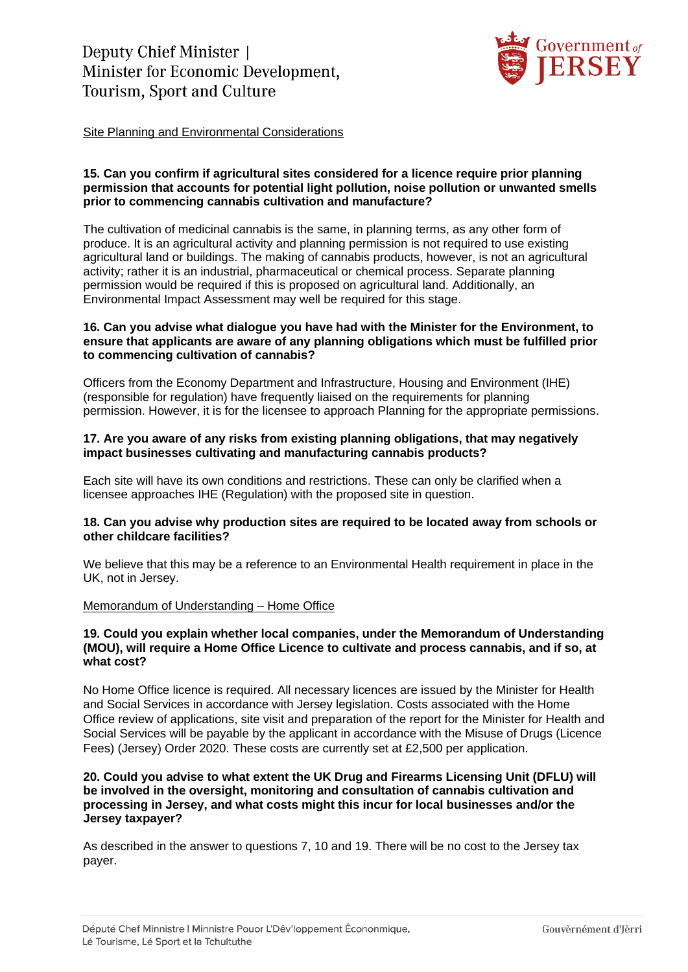

Site Planning and Environmental Considerations

### **15. Can you confirm if agricultural sites considered for a licence require prior planning permission that accounts for potential light pollution, noise pollution or unwanted smells prior to commencing cannabis cultivation and manufacture?**

The cultivation of medicinal cannabis is the same, in planning terms, as any other form of produce. It is an agricultural activity and planning permission is not required to use existing agricultural land or buildings. The making of cannabis products, however, is not an agricultural activity; rather it is an industrial, pharmaceutical or chemical process. Separate planning permission would be required if this is proposed on agricultural land. Additionally, an Environmental Impact Assessment may well be required for this stage.

## **16. Can you advise what dialogue you have had with the Minister for the Environment, to ensure that applicants are aware of any planning obligations which must be fulfilled prior to commencing cultivation of cannabis?**

Officers from the Economy Department and Infrastructure, Housing and Environment (IHE) (responsible for regulation) have frequently liaised on the requirements for planning permission. However, it is for the licensee to approach Planning for the appropriate permissions.

## **17. Are you aware of any risks from existing planning obligations, that may negatively impact businesses cultivating and manufacturing cannabis products?**

Each site will have its own conditions and restrictions. These can only be clarified when a licensee approaches IHE (Regulation) with the proposed site in question.

## **18. Can you advise why production sites are required to be located away from schools or other childcare facilities?**

We believe that this may be a reference to an Environmental Health requirement in place in the UK, not in Jersey.

# Memorandum of Understanding – Home Office

### **19. Could you explain whether local companies, under the Memorandum of Understanding (MOU), will require a Home Office Licence to cultivate and process cannabis, and if so, at what cost?**

No Home Office licence is required. All necessary licences are issued by the Minister for Health and Social Services in accordance with Jersey legislation. Costs associated with the Home Office review of applications, site visit and preparation of the report for the Minister for Health and Social Services will be payable by the applicant in accordance with the Misuse of Drugs (Licence Fees) (Jersey) Order 2020. These costs are currently set at £2,500 per application.

### **20. Could you advise to what extent the UK Drug and Firearms Licensing Unit (DFLU) will be involved in the oversight, monitoring and consultation of cannabis cultivation and processing in Jersey, and what costs might this incur for local businesses and/or the Jersey taxpayer?**

As described in the answer to questions 7, 10 and 19. There will be no cost to the Jersey tax payer.